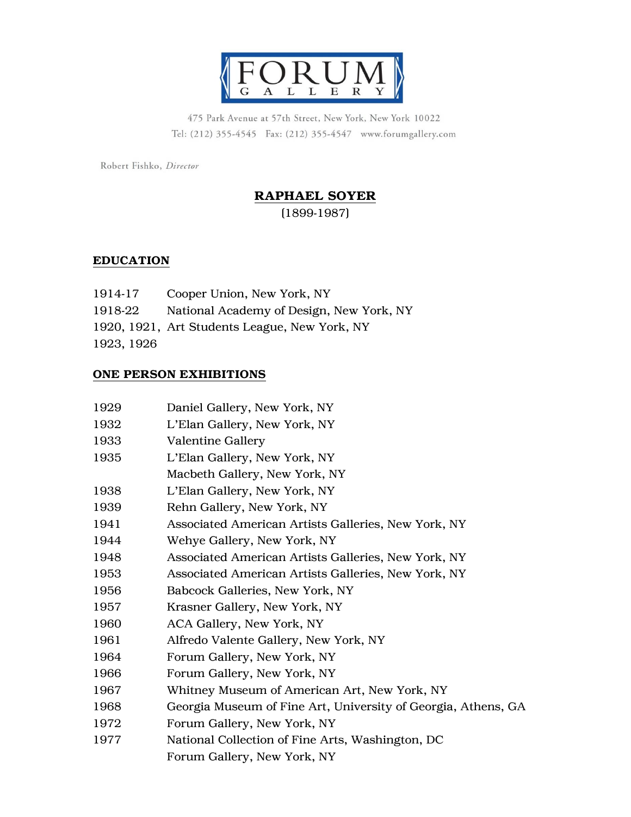

475 Park Avenue at 57th Street, New York, New York 10022 Tel: (212) 355-4545 Fax: (212) 355-4547 www.forumgallery.com

Robert Fishko, Director

# RAPHAEL SOYER

(1899-1987)

# **EDUCATION**

| 1914-17    | Cooper Union, New York, NY                    |
|------------|-----------------------------------------------|
| 1918-22    | National Academy of Design, New York, NY      |
|            | 1920, 1921, Art Students League, New York, NY |
| 1923, 1926 |                                               |

#### ONE PERSON EXHIBITIONS

| 1929 | Daniel Gallery, New York, NY                                  |
|------|---------------------------------------------------------------|
| 1932 | L'Elan Gallery, New York, NY                                  |
| 1933 | <b>Valentine Gallery</b>                                      |
| 1935 | L'Elan Gallery, New York, NY                                  |
|      | Macbeth Gallery, New York, NY                                 |
| 1938 | L'Elan Gallery, New York, NY                                  |
| 1939 | Rehn Gallery, New York, NY                                    |
| 1941 | Associated American Artists Galleries, New York, NY           |
| 1944 | Wehye Gallery, New York, NY                                   |
| 1948 | Associated American Artists Galleries, New York, NY           |
| 1953 | Associated American Artists Galleries, New York, NY           |
| 1956 | Babcock Galleries, New York, NY                               |
| 1957 | Krasner Gallery, New York, NY                                 |
| 1960 | ACA Gallery, New York, NY                                     |
| 1961 | Alfredo Valente Gallery, New York, NY                         |
| 1964 | Forum Gallery, New York, NY                                   |
| 1966 | Forum Gallery, New York, NY                                   |
| 1967 | Whitney Museum of American Art, New York, NY                  |
| 1968 | Georgia Museum of Fine Art, University of Georgia, Athens, GA |
| 1972 | Forum Gallery, New York, NY                                   |
| 1977 | National Collection of Fine Arts, Washington, DC              |
|      | Forum Gallery, New York, NY                                   |
|      |                                                               |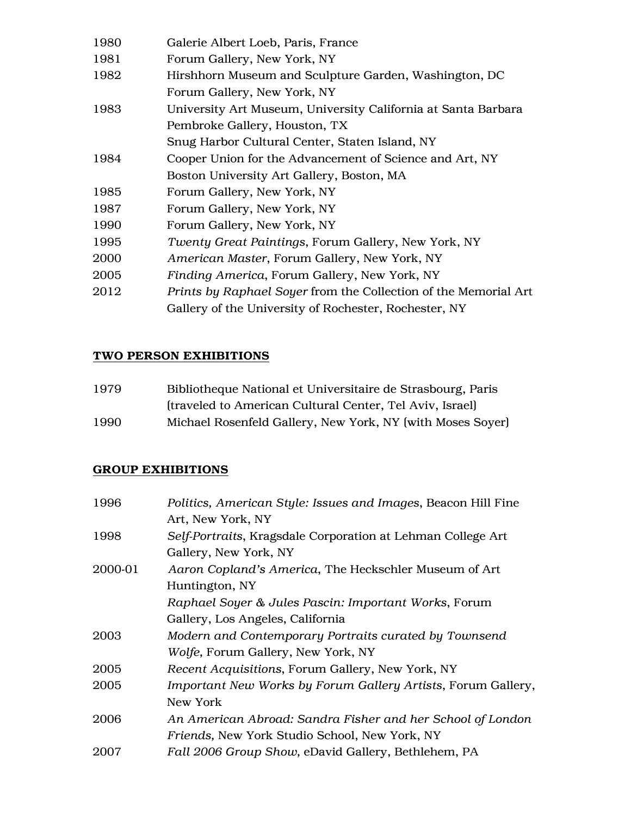| 1980 | Galerie Albert Loeb, Paris, France                              |
|------|-----------------------------------------------------------------|
| 1981 | Forum Gallery, New York, NY                                     |
| 1982 | Hirshhorn Museum and Sculpture Garden, Washington, DC           |
|      | Forum Gallery, New York, NY                                     |
| 1983 | University Art Museum, University California at Santa Barbara   |
|      | Pembroke Gallery, Houston, TX                                   |
|      | Snug Harbor Cultural Center, Staten Island, NY                  |
| 1984 | Cooper Union for the Advancement of Science and Art, NY         |
|      | Boston University Art Gallery, Boston, MA                       |
| 1985 | Forum Gallery, New York, NY                                     |
| 1987 | Forum Gallery, New York, NY                                     |
| 1990 | Forum Gallery, New York, NY                                     |
| 1995 | Twenty Great Paintings, Forum Gallery, New York, NY             |
| 2000 | American Master, Forum Gallery, New York, NY                    |
| 2005 | Finding America, Forum Gallery, New York, NY                    |
| 2012 | Prints by Raphael Soyer from the Collection of the Memorial Art |
|      | Gallery of the University of Rochester, Rochester, NY           |
|      |                                                                 |

# TWO PERSON EXHIBITIONS

| 1979 | Bibliotheque National et Universitaire de Strasbourg, Paris |
|------|-------------------------------------------------------------|
|      | (traveled to American Cultural Center, Tel Aviv, Israel)    |
| 1990 | Michael Rosenfeld Gallery, New York, NY (with Moses Soyer)  |

# GROUP EXHIBITIONS

| 1996    | Politics, American Style: Issues and Images, Beacon Hill Fine |
|---------|---------------------------------------------------------------|
|         | Art, New York, NY                                             |
| 1998    | Self-Portraits, Kragsdale Corporation at Lehman College Art   |
|         | Gallery, New York, NY                                         |
| 2000-01 | Aaron Copland's America, The Heckschler Museum of Art         |
|         | Huntington, NY                                                |
|         | Raphael Soyer & Jules Pascin: Important Works, Forum          |
|         | Gallery, Los Angeles, California                              |
| 2003    | Modern and Contemporary Portraits curated by Townsend         |
|         | Wolfe, Forum Gallery, New York, NY                            |
| 2005    | Recent Acquisitions, Forum Gallery, New York, NY              |
| 2005    | Important New Works by Forum Gallery Artists, Forum Gallery,  |
|         | New York                                                      |
| 2006    | An American Abroad: Sandra Fisher and her School of London    |
|         | <i>Friends</i> , New York Studio School, New York, NY         |
| 2007    | Fall 2006 Group Show, eDavid Gallery, Bethlehem, PA           |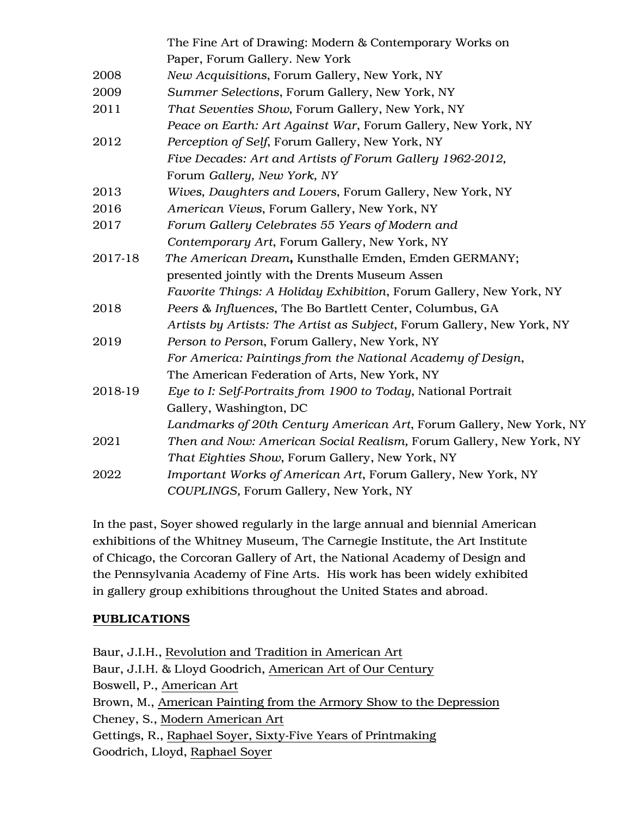|         | The Fine Art of Drawing: Modern & Contemporary Works on                |
|---------|------------------------------------------------------------------------|
|         | Paper, Forum Gallery. New York                                         |
| 2008    | New Acquisitions, Forum Gallery, New York, NY                          |
| 2009    | Summer Selections, Forum Gallery, New York, NY                         |
| 2011    | That Seventies Show, Forum Gallery, New York, NY                       |
|         | Peace on Earth: Art Against War, Forum Gallery, New York, NY           |
| 2012    | Perception of Self, Forum Gallery, New York, NY                        |
|         | Five Decades: Art and Artists of Forum Gallery 1962-2012,              |
|         | Forum Gallery, New York, NY                                            |
| 2013    | Wives, Daughters and Lovers, Forum Gallery, New York, NY               |
| 2016    | American Views, Forum Gallery, New York, NY                            |
| 2017    | Forum Gallery Celebrates 55 Years of Modern and                        |
|         | Contemporary Art, Forum Gallery, New York, NY                          |
| 2017-18 | The American Dream, Kunsthalle Emden, Emden GERMANY;                   |
|         | presented jointly with the Drents Museum Assen                         |
|         | Favorite Things: A Holiday Exhibition, Forum Gallery, New York, NY     |
| 2018    | Peers & Influences, The Bo Bartlett Center, Columbus, GA               |
|         | Artists by Artists: The Artist as Subject, Forum Gallery, New York, NY |
| 2019    | Person to Person, Forum Gallery, New York, NY                          |
|         | For America: Paintings from the National Academy of Design,            |
|         | The American Federation of Arts, New York, NY                          |
| 2018-19 | Eye to I: Self-Portraits from 1900 to Today, National Portrait         |
|         | Gallery, Washington, DC                                                |
|         | Landmarks of 20th Century American Art, Forum Gallery, New York, NY    |
| 2021    | Then and Now: American Social Realism, Forum Gallery, New York, NY     |
|         | That Eighties Show, Forum Gallery, New York, NY                        |
| 2022    | Important Works of American Art, Forum Gallery, New York, NY           |
|         | COUPLINGS, Forum Gallery, New York, NY                                 |

In the past, Soyer showed regularly in the large annual and biennial American exhibitions of the Whitney Museum, The Carnegie Institute, the Art Institute of Chicago, the Corcoran Gallery of Art, the National Academy of Design and the Pennsylvania Academy of Fine Arts. His work has been widely exhibited in gallery group exhibitions throughout the United States and abroad.

## PUBLICATIONS

Baur, J.I.H., Revolution and Tradition in American Art Baur, J.I.H. & Lloyd Goodrich, American Art of Our Century Boswell, P., American Art Brown, M., American Painting from the Armory Show to the Depression Cheney, S., Modern American Art Gettings, R., Raphael Soyer, Sixty-Five Years of Printmaking Goodrich, Lloyd, Raphael Soyer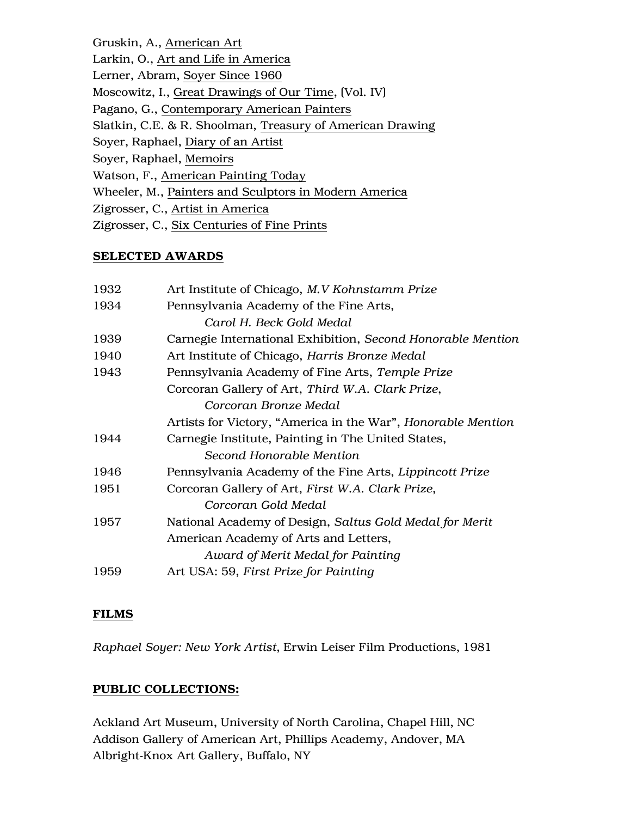Gruskin, A., American Art Larkin, O., Art and Life in America Lerner, Abram, Soyer Since 1960 Moscowitz, I., Great Drawings of Our Time, (Vol. IV) Pagano, G., Contemporary American Painters Slatkin, C.E. & R. Shoolman, Treasury of American Drawing Soyer, Raphael, Diary of an Artist Soyer, Raphael, Memoirs Watson, F., American Painting Today Wheeler, M., Painters and Sculptors in Modern America Zigrosser, C., Artist in America Zigrosser, C., Six Centuries of Fine Prints

#### SELECTED AWARDS

| 1932 | Art Institute of Chicago, M.V Kohnstamm Prize                |
|------|--------------------------------------------------------------|
| 1934 | Pennsylvania Academy of the Fine Arts,                       |
|      | Carol H. Beck Gold Medal                                     |
| 1939 | Carnegie International Exhibition, Second Honorable Mention  |
| 1940 | Art Institute of Chicago, Harris Bronze Medal                |
| 1943 | Pennsylvania Academy of Fine Arts, Temple Prize              |
|      | Corcoran Gallery of Art, Third W.A. Clark Prize,             |
|      | Corcoran Bronze Medal                                        |
|      | Artists for Victory, "America in the War", Honorable Mention |
| 1944 | Carnegie Institute, Painting in The United States,           |
|      | Second Honorable Mention                                     |
| 1946 | Pennsylvania Academy of the Fine Arts, Lippincott Prize      |
| 1951 | Corcoran Gallery of Art, First W.A. Clark Prize,             |
|      | Corcoran Gold Medal                                          |
| 1957 | National Academy of Design, Saltus Gold Medal for Merit      |
|      | American Academy of Arts and Letters,                        |
|      | Award of Merit Medal for Painting                            |
| 1959 | Art USA: 59, First Prize for Painting                        |

#### FILMS

*Raphael Soyer: New York Artist*, Erwin Leiser Film Productions, 1981

## PUBLIC COLLECTIONS:

Ackland Art Museum, University of North Carolina, Chapel Hill, NC Addison Gallery of American Art, Phillips Academy, Andover, MA Albright-Knox Art Gallery, Buffalo, NY